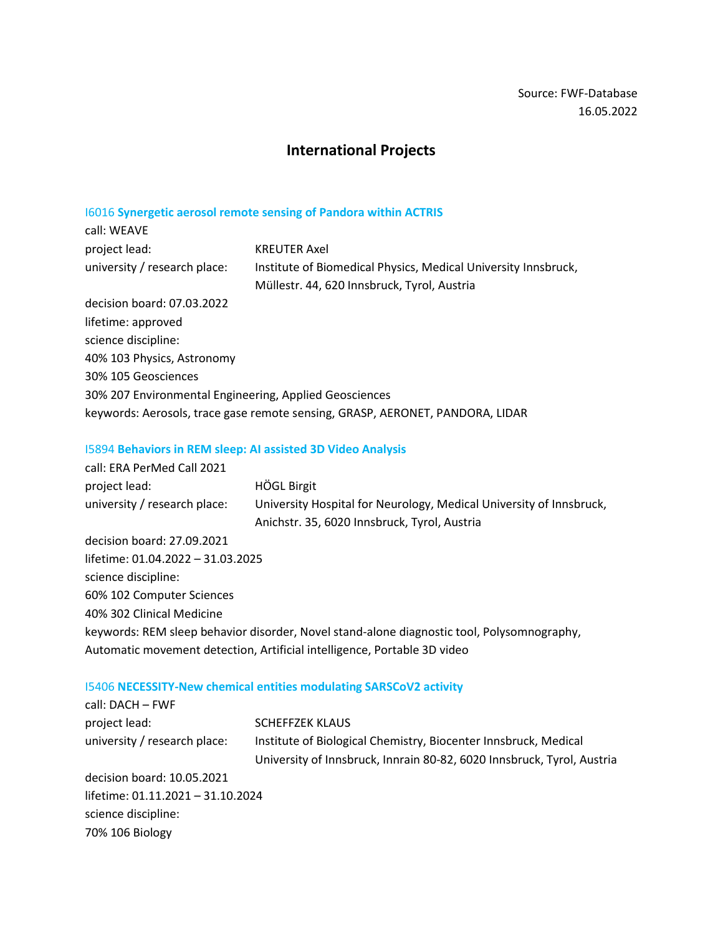# **International Projects**

# I6016 **Synergetic aerosol remote sensing of Pandora within ACTRIS**

| call: WEAVE                                            |                                                                                                               |
|--------------------------------------------------------|---------------------------------------------------------------------------------------------------------------|
| project lead:                                          | <b>KREUTER Axel</b>                                                                                           |
| university / research place:                           | Institute of Biomedical Physics, Medical University Innsbruck,<br>Müllestr. 44, 620 Innsbruck, Tyrol, Austria |
| decision board: 07.03.2022                             |                                                                                                               |
| lifetime: approved                                     |                                                                                                               |
| science discipline:                                    |                                                                                                               |
| 40% 103 Physics, Astronomy                             |                                                                                                               |
| 30% 105 Geosciences                                    |                                                                                                               |
| 30% 207 Environmental Engineering, Applied Geosciences |                                                                                                               |
|                                                        | keywords: Aerosols, trace gase remote sensing, GRASP, AERONET, PANDORA, LIDAR                                 |

# I5894 **Behaviors in REM sleep: AI assisted 3D Video Analysis**

| call: ERA PerMed Call 2021                                                                 |                                                                     |  |
|--------------------------------------------------------------------------------------------|---------------------------------------------------------------------|--|
| project lead:                                                                              | <b>HÖGL Birgit</b>                                                  |  |
| university / research place:                                                               | University Hospital for Neurology, Medical University of Innsbruck, |  |
|                                                                                            | Anichstr. 35, 6020 Innsbruck, Tyrol, Austria                        |  |
| decision board: 27.09.2021                                                                 |                                                                     |  |
| lifetime: 01.04.2022 - 31.03.2025                                                          |                                                                     |  |
| science discipline:                                                                        |                                                                     |  |
| 60% 102 Computer Sciences                                                                  |                                                                     |  |
| 40% 302 Clinical Medicine                                                                  |                                                                     |  |
| keywords: REM sleep behavior disorder, Novel stand-alone diagnostic tool, Polysomnography, |                                                                     |  |
| Automatic movement detection, Artificial intelligence, Portable 3D video                   |                                                                     |  |

# I5406 **NECESSITY-New chemical entities modulating SARSCoV2 activity**

| <b>SCHEFFZEK KLAUS</b>                                                 |  |  |
|------------------------------------------------------------------------|--|--|
| Institute of Biological Chemistry, Biocenter Innsbruck, Medical        |  |  |
| University of Innsbruck, Innrain 80-82, 6020 Innsbruck, Tyrol, Austria |  |  |
|                                                                        |  |  |
| lifetime: 01.11.2021 - 31.10.2024                                      |  |  |
|                                                                        |  |  |
|                                                                        |  |  |
|                                                                        |  |  |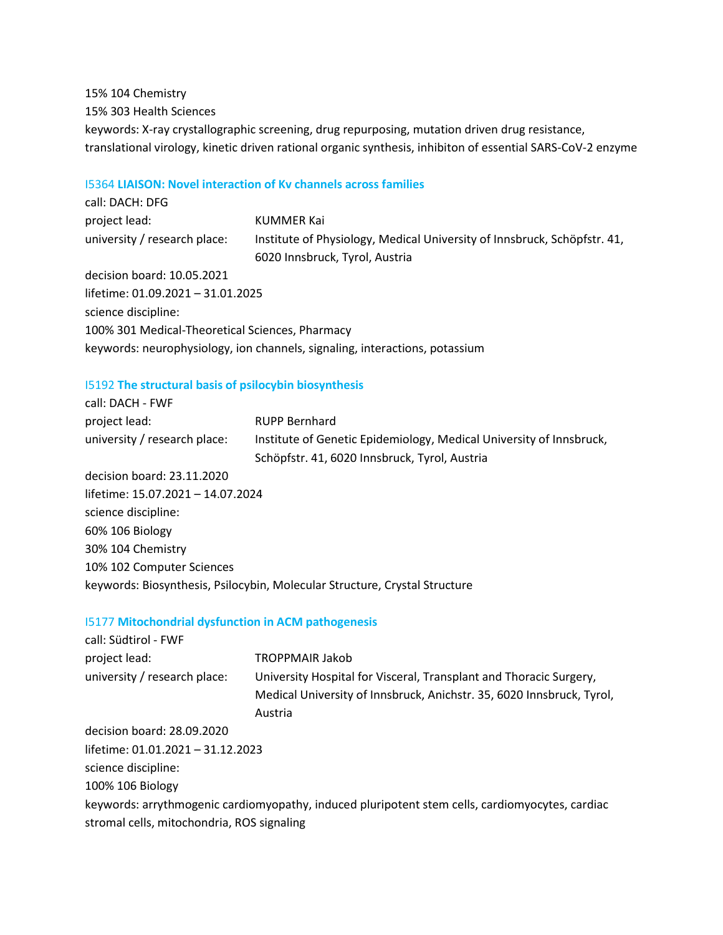15% 104 Chemistry 15% 303 Health Sciences keywords: X-ray crystallographic screening, drug repurposing, mutation driven drug resistance, translational virology, kinetic driven rational organic synthesis, inhibiton of essential SARS-CoV-2 enzyme

### I5364 **LIAISON: Novel interaction of Kv channels across families**

| call: DACH: DFG                                 |                                                                             |
|-------------------------------------------------|-----------------------------------------------------------------------------|
| project lead:                                   | KUMMER Kai                                                                  |
| university / research place:                    | Institute of Physiology, Medical University of Innsbruck, Schöpfstr. 41,    |
|                                                 | 6020 Innsbruck, Tyrol, Austria                                              |
| decision board: 10.05.2021                      |                                                                             |
| lifetime: 01.09.2021 - 31.01.2025               |                                                                             |
| science discipline:                             |                                                                             |
| 100% 301 Medical-Theoretical Sciences, Pharmacy |                                                                             |
|                                                 | keywords: neurophysiology, ion channels, signaling, interactions, potassium |
|                                                 |                                                                             |

# I5192 **The structural basis of psilocybin biosynthesis**

| call: DACH - FWF                  |                                                                            |
|-----------------------------------|----------------------------------------------------------------------------|
| project lead:                     | <b>RUPP Bernhard</b>                                                       |
| university / research place:      | Institute of Genetic Epidemiology, Medical University of Innsbruck,        |
|                                   | Schöpfstr. 41, 6020 Innsbruck, Tyrol, Austria                              |
| decision board: 23.11.2020        |                                                                            |
| lifetime: 15.07.2021 - 14.07.2024 |                                                                            |
| science discipline:               |                                                                            |
| 60% 106 Biology                   |                                                                            |
| 30% 104 Chemistry                 |                                                                            |
| 10% 102 Computer Sciences         |                                                                            |
|                                   | keywords: Biosynthesis, Psilocybin, Molecular Structure, Crystal Structure |

### I5177 **Mitochondrial dysfunction in ACM pathogenesis**

| <b>TROPPMAIR Jakob</b>                                                                          |
|-------------------------------------------------------------------------------------------------|
| University Hospital for Visceral, Transplant and Thoracic Surgery,                              |
| Medical University of Innsbruck, Anichstr. 35, 6020 Innsbruck, Tyrol,                           |
| Austria                                                                                         |
|                                                                                                 |
| lifetime: 01.01.2021 - 31.12.2023                                                               |
|                                                                                                 |
|                                                                                                 |
| keywords: arrythmogenic cardiomyopathy, induced pluripotent stem cells, cardiomyocytes, cardiac |
| stromal cells, mitochondria, ROS signaling                                                      |
|                                                                                                 |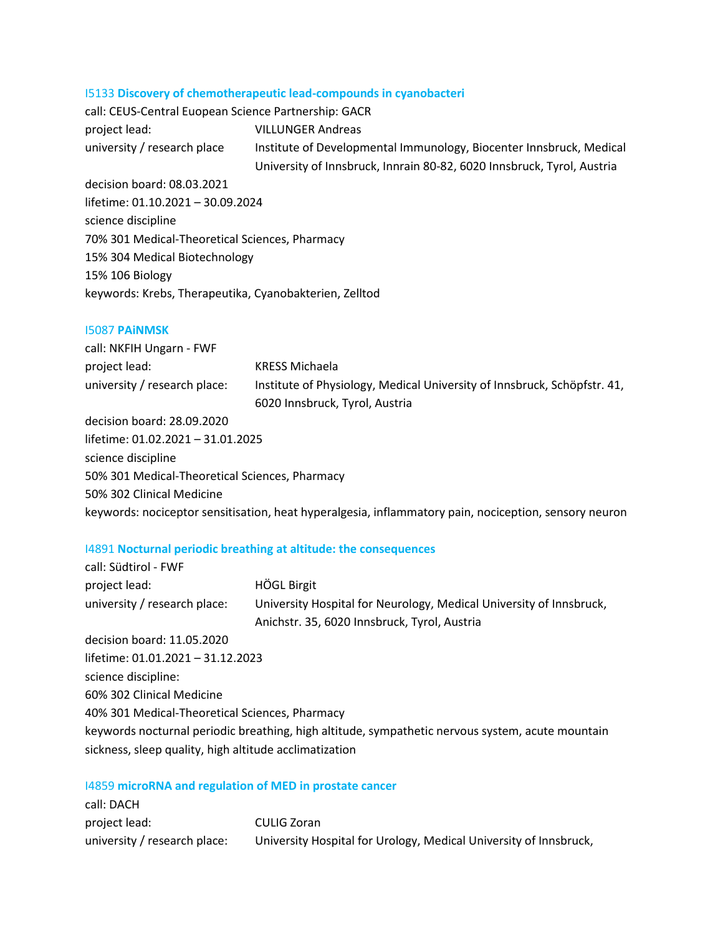#### I5133 **Discovery of chemotherapeutic lead-compounds in cyanobacteri**

| call: CEUS-Central Euopean Science Partnership: GACR   |                                                                        |  |
|--------------------------------------------------------|------------------------------------------------------------------------|--|
| project lead:                                          | <b>VILLUNGER Andreas</b>                                               |  |
| university / research place                            | Institute of Developmental Immunology, Biocenter Innsbruck, Medical    |  |
|                                                        | University of Innsbruck, Innrain 80-82, 6020 Innsbruck, Tyrol, Austria |  |
| decision board: 08.03.2021                             |                                                                        |  |
| lifetime: 01.10.2021 - 30.09.2024                      |                                                                        |  |
| science discipline                                     |                                                                        |  |
| 70% 301 Medical-Theoretical Sciences, Pharmacy         |                                                                        |  |
| 15% 304 Medical Biotechnology                          |                                                                        |  |
| 15% 106 Biology                                        |                                                                        |  |
| keywords: Krebs, Therapeutika, Cyanobakterien, Zelltod |                                                                        |  |
|                                                        |                                                                        |  |

#### I5087 **PAiNMSK**

call: NKFIH Ungarn - FWF project lead: KRESS Michaela university / research place: Institute of Physiology, Medical University of Innsbruck, Schöpfstr. 41, 6020 Innsbruck, Tyrol, Austria

decision board: 28.09.2020 lifetime: 01.02.2021 – 31.01.2025 science discipline 50% 301 Medical-Theoretical Sciences, Pharmacy 50% 302 Clinical Medicine keywords: nociceptor sensitisation, heat hyperalgesia, inflammatory pain, nociception, sensory neuron

### I4891 **Nocturnal periodic breathing at altitude: the consequences**

| call: Südtirol - FWF                                                                             |                                                                     |  |
|--------------------------------------------------------------------------------------------------|---------------------------------------------------------------------|--|
| project lead:                                                                                    | <b>HÖGL Birgit</b>                                                  |  |
| university / research place:                                                                     | University Hospital for Neurology, Medical University of Innsbruck, |  |
|                                                                                                  | Anichstr. 35, 6020 Innsbruck, Tyrol, Austria                        |  |
| decision board: 11.05.2020                                                                       |                                                                     |  |
| lifetime: 01.01.2021 - 31.12.2023                                                                |                                                                     |  |
| science discipline:                                                                              |                                                                     |  |
| 60% 302 Clinical Medicine                                                                        |                                                                     |  |
| 40% 301 Medical-Theoretical Sciences, Pharmacy                                                   |                                                                     |  |
| keywords nocturnal periodic breathing, high altitude, sympathetic nervous system, acute mountain |                                                                     |  |
| sickness, sleep quality, high altitude acclimatization                                           |                                                                     |  |

#### I4859 **microRNA and regulation of MED in prostate cancer**

| call: DACH                   |                                                                   |
|------------------------------|-------------------------------------------------------------------|
| project lead:                | CULIG Zoran                                                       |
| university / research place: | University Hospital for Urology, Medical University of Innsbruck, |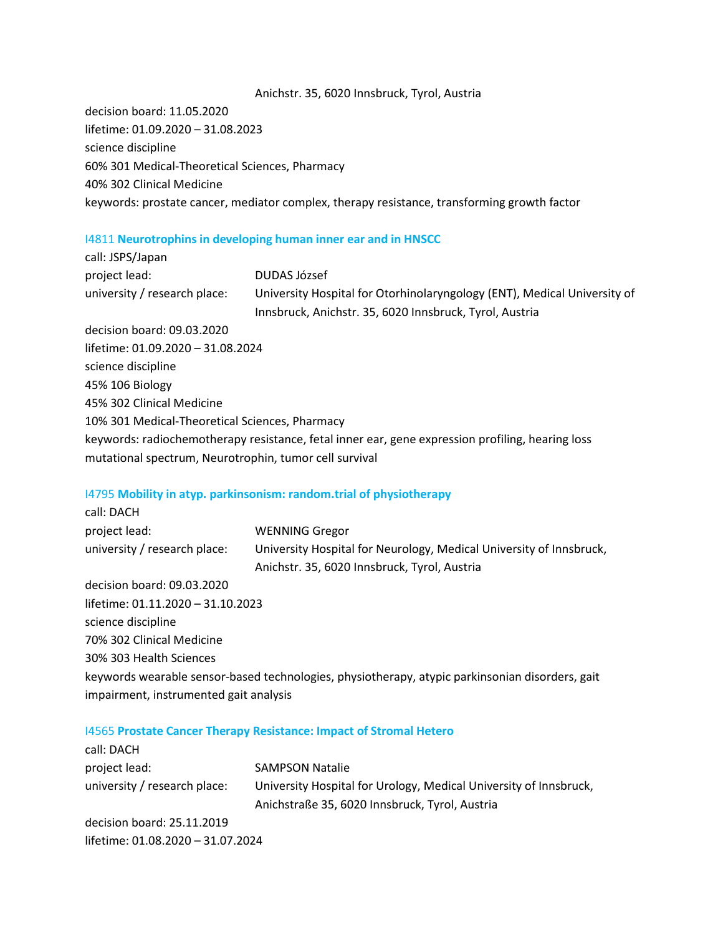#### Anichstr. 35, 6020 Innsbruck, Tyrol, Austria

decision board: 11.05.2020 lifetime: 01.09.2020 – 31.08.2023 science discipline 60% 301 Medical-Theoretical Sciences, Pharmacy 40% 302 Clinical Medicine keywords: prostate cancer, mediator complex, therapy resistance, transforming growth factor

#### I4811 **Neurotrophins in developing human inner ear and in HNSCC**

| call: JSPS/Japan                                       |                                                                                                                                     |  |
|--------------------------------------------------------|-------------------------------------------------------------------------------------------------------------------------------------|--|
| project lead:                                          | DUDAS József                                                                                                                        |  |
| university / research place:                           | University Hospital for Otorhinolaryngology (ENT), Medical University of<br>Innsbruck, Anichstr. 35, 6020 Innsbruck, Tyrol, Austria |  |
| decision board: 09.03.2020                             |                                                                                                                                     |  |
| lifetime: 01.09.2020 - 31.08.2024                      |                                                                                                                                     |  |
| science discipline                                     |                                                                                                                                     |  |
| 45% 106 Biology                                        |                                                                                                                                     |  |
| 45% 302 Clinical Medicine                              |                                                                                                                                     |  |
| 10% 301 Medical-Theoretical Sciences, Pharmacy         |                                                                                                                                     |  |
|                                                        | keywords: radiochemotherapy resistance, fetal inner ear, gene expression profiling, hearing loss                                    |  |
| mutational spectrum, Neurotrophin, tumor cell survival |                                                                                                                                     |  |

### I4795 **Mobility in atyp. parkinsonism: random.trial of physiotherapy**

| call: DACH                             |                                                                                                 |
|----------------------------------------|-------------------------------------------------------------------------------------------------|
| project lead:                          | <b>WENNING Gregor</b>                                                                           |
| university / research place:           | University Hospital for Neurology, Medical University of Innsbruck,                             |
|                                        | Anichstr. 35, 6020 Innsbruck, Tyrol, Austria                                                    |
| decision board: 09.03.2020             |                                                                                                 |
| lifetime: 01.11.2020 - 31.10.2023      |                                                                                                 |
| science discipline                     |                                                                                                 |
| 70% 302 Clinical Medicine              |                                                                                                 |
| 30% 303 Health Sciences                |                                                                                                 |
|                                        | keywords wearable sensor-based technologies, physiotherapy, atypic parkinsonian disorders, gait |
| impairment, instrumented gait analysis |                                                                                                 |

#### I4565 **Prostate Cancer Therapy Resistance: Impact of Stromal Hetero**

| call: DACH                        |                                                                                                                     |
|-----------------------------------|---------------------------------------------------------------------------------------------------------------------|
| project lead:                     | <b>SAMPSON Natalie</b>                                                                                              |
| university / research place:      | University Hospital for Urology, Medical University of Innsbruck,<br>Anichstraße 35, 6020 Innsbruck, Tyrol, Austria |
| decision board: 25.11.2019        |                                                                                                                     |
| lifetime: 01.08.2020 - 31.07.2024 |                                                                                                                     |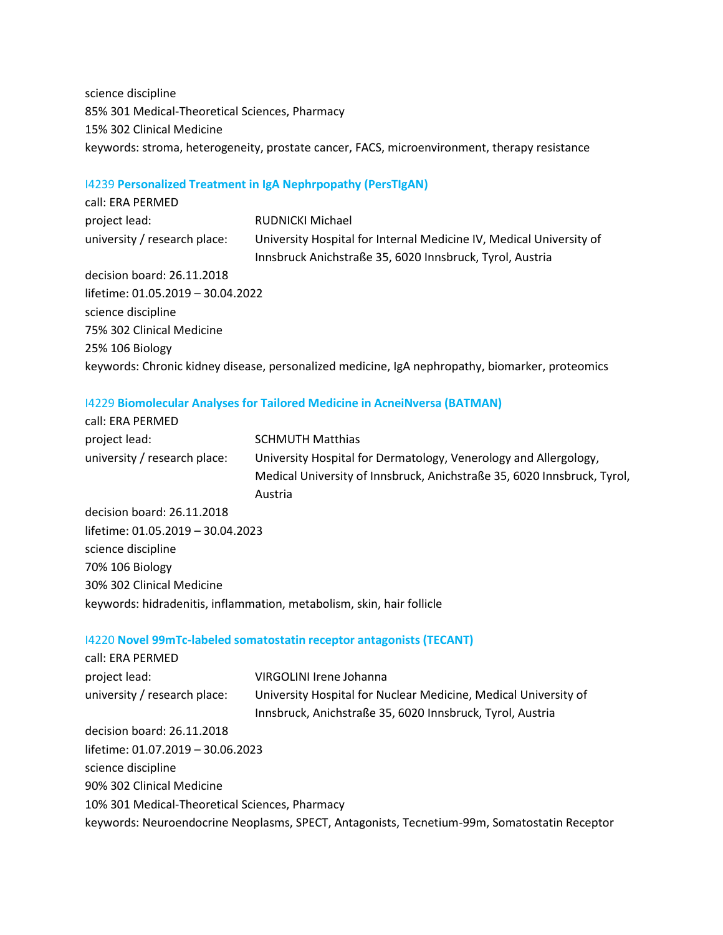science discipline 85% 301 Medical-Theoretical Sciences, Pharmacy 15% 302 Clinical Medicine keywords: stroma, heterogeneity, prostate cancer, FACS, microenvironment, therapy resistance

#### I4239 **Personalized Treatment in IgA Nephrpopathy (PersTIgAN)**

| call: ERA PERMED                  |                                                                                                                                 |
|-----------------------------------|---------------------------------------------------------------------------------------------------------------------------------|
| project lead:                     | RUDNICKI Michael                                                                                                                |
| university / research place:      | University Hospital for Internal Medicine IV, Medical University of<br>Innsbruck Anichstraße 35, 6020 Innsbruck, Tyrol, Austria |
| decision board: 26.11.2018        |                                                                                                                                 |
| lifetime: 01.05.2019 - 30.04.2022 |                                                                                                                                 |
| science discipline                |                                                                                                                                 |
| 75% 302 Clinical Medicine         |                                                                                                                                 |
| 25% 106 Biology                   |                                                                                                                                 |
|                                   | keywords: Chronic kidney disease, personalized medicine, IgA nephropathy, biomarker, proteomics                                 |

### I4229 **Biomolecular Analyses for Tailored Medicine in AcneiNversa (BATMAN)**

| call: ERA PERMED                  |                                                                                                                                                        |
|-----------------------------------|--------------------------------------------------------------------------------------------------------------------------------------------------------|
| project lead:                     | <b>SCHMUTH Matthias</b>                                                                                                                                |
| university / research place:      | University Hospital for Dermatology, Venerology and Allergology,<br>Medical University of Innsbruck, Anichstraße 35, 6020 Innsbruck, Tyrol,<br>Austria |
| decision board: 26.11.2018        |                                                                                                                                                        |
| lifetime: 01.05.2019 - 30.04.2023 |                                                                                                                                                        |
| science discipline                |                                                                                                                                                        |
| 70% 106 Biology                   |                                                                                                                                                        |
| 30% 302 Clinical Medicine         |                                                                                                                                                        |
|                                   |                                                                                                                                                        |

### keywords: hidradenitis, inflammation, metabolism, skin, hair follicle

called a Robert Company

### I4220 **Novel 99mTc-labeled somatostatin receptor antagonists (TECANT)**

| call: ERA PERMED                               |                                                                                              |
|------------------------------------------------|----------------------------------------------------------------------------------------------|
| project lead:                                  | VIRGOLINI Irene Johanna                                                                      |
| university / research place:                   | University Hospital for Nuclear Medicine, Medical University of                              |
|                                                | Innsbruck, Anichstraße 35, 6020 Innsbruck, Tyrol, Austria                                    |
| decision board: 26.11.2018                     |                                                                                              |
| lifetime: 01.07.2019 - 30.06.2023              |                                                                                              |
| science discipline                             |                                                                                              |
| 90% 302 Clinical Medicine                      |                                                                                              |
| 10% 301 Medical-Theoretical Sciences, Pharmacy |                                                                                              |
|                                                | keywords: Neuroendocrine Neoplasms, SPECT, Antagonists, Tecnetium-99m, Somatostatin Receptor |
|                                                |                                                                                              |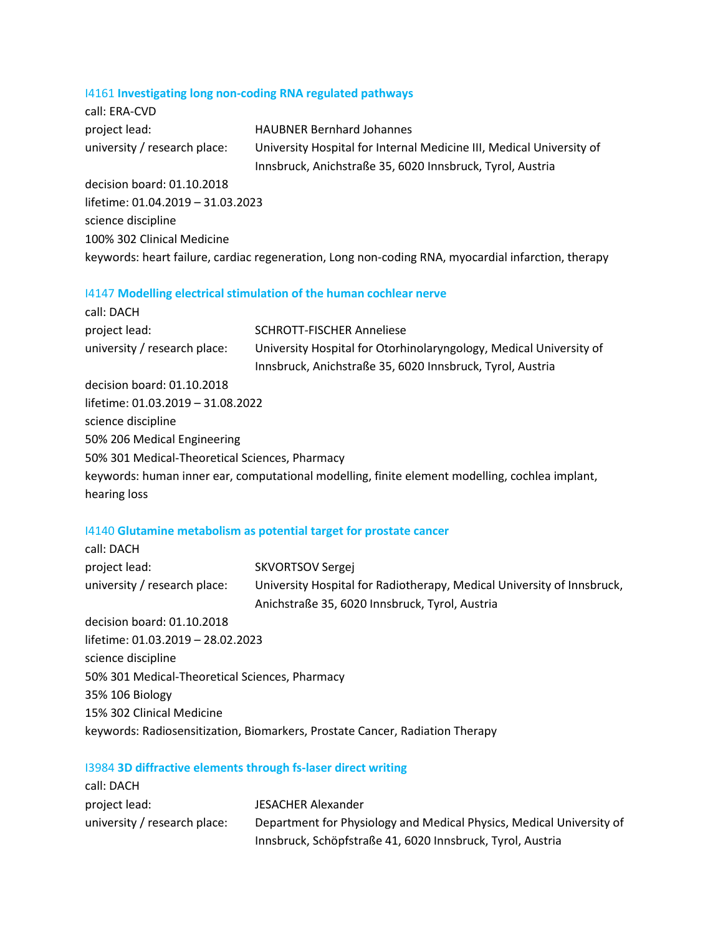# I4161 **Investigating long non-coding RNA regulated pathways**

| call: ERA-CVD                     |                                                                                                    |
|-----------------------------------|----------------------------------------------------------------------------------------------------|
| project lead:                     | <b>HAUBNER Bernhard Johannes</b>                                                                   |
| university / research place:      | University Hospital for Internal Medicine III, Medical University of                               |
|                                   | Innsbruck, Anichstraße 35, 6020 Innsbruck, Tyrol, Austria                                          |
| decision board: 01.10.2018        |                                                                                                    |
| lifetime: 01.04.2019 - 31.03.2023 |                                                                                                    |
| science discipline                |                                                                                                    |
| 100% 302 Clinical Medicine        |                                                                                                    |
|                                   | keywords: heart failure, cardiac regeneration, Long non-coding RNA, myocardial infarction, therapy |
|                                   |                                                                                                    |

# I4147 **Modelling electrical stimulation of the human cochlear nerve**

| call: DACH                                     |                                                                                                                                 |
|------------------------------------------------|---------------------------------------------------------------------------------------------------------------------------------|
| project lead:                                  | <b>SCHROTT-FISCHER Anneliese</b>                                                                                                |
| university / research place:                   | University Hospital for Otorhinolaryngology, Medical University of<br>Innsbruck, Anichstraße 35, 6020 Innsbruck, Tyrol, Austria |
| decision board: 01.10.2018                     |                                                                                                                                 |
| lifetime: 01.03.2019 - 31.08.2022              |                                                                                                                                 |
| science discipline                             |                                                                                                                                 |
| 50% 206 Medical Engineering                    |                                                                                                                                 |
| 50% 301 Medical-Theoretical Sciences, Pharmacy |                                                                                                                                 |
|                                                | keywords: human inner ear, computational modelling, finite element modelling, cochlea implant,                                  |
| hearing loss                                   |                                                                                                                                 |

# I4140 **Glutamine metabolism as potential target for prostate cancer**

| call: DACH                                     |                                                                              |
|------------------------------------------------|------------------------------------------------------------------------------|
| project lead:                                  | SKVORTSOV Sergej                                                             |
| university / research place:                   | University Hospital for Radiotherapy, Medical University of Innsbruck,       |
|                                                | Anichstraße 35, 6020 Innsbruck, Tyrol, Austria                               |
| decision board: 01.10.2018                     |                                                                              |
| lifetime: 01.03.2019 - 28.02.2023              |                                                                              |
| science discipline                             |                                                                              |
| 50% 301 Medical-Theoretical Sciences, Pharmacy |                                                                              |
| 35% 106 Biology                                |                                                                              |
| 15% 302 Clinical Medicine                      |                                                                              |
|                                                | keywords: Radiosensitization, Biomarkers, Prostate Cancer, Radiation Therapy |
|                                                |                                                                              |

# I3984 **3D diffractive elements through fs-laser direct writing**

| call: DACH                   |                                                                                                                                    |
|------------------------------|------------------------------------------------------------------------------------------------------------------------------------|
| project lead:                | JESACHER Alexander                                                                                                                 |
| university / research place: | Department for Physiology and Medical Physics, Medical University of<br>Innsbruck, Schöpfstraße 41, 6020 Innsbruck, Tyrol, Austria |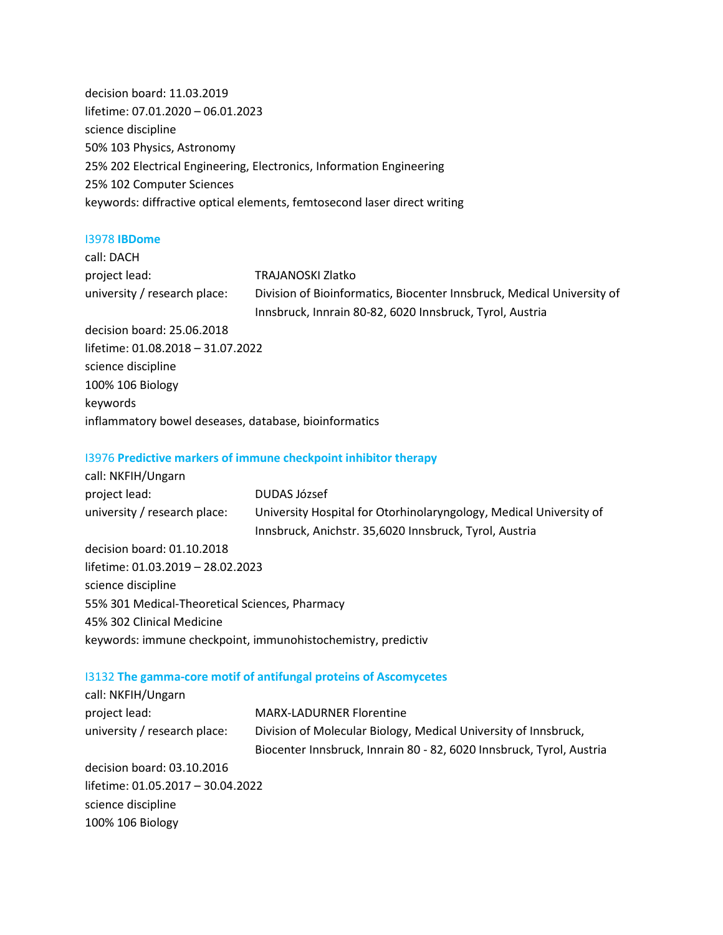decision board: 11.03.2019 lifetime: 07.01.2020 – 06.01.2023 science discipline 50% 103 Physics, Astronomy 25% 202 Electrical Engineering, Electronics, Information Engineering 25% 102 Computer Sciences keywords: diffractive optical elements, femtosecond laser direct writing

#### I3978 **IBDome**

| call: DACH                                            |                                                                                                                                    |
|-------------------------------------------------------|------------------------------------------------------------------------------------------------------------------------------------|
| project lead:                                         | <b>TRAJANOSKI Zlatko</b>                                                                                                           |
| university / research place:                          | Division of Bioinformatics, Biocenter Innsbruck, Medical University of<br>Innsbruck, Innrain 80-82, 6020 Innsbruck, Tyrol, Austria |
| decision board: 25.06.2018                            |                                                                                                                                    |
| lifetime: 01.08.2018 - 31.07.2022                     |                                                                                                                                    |
| science discipline                                    |                                                                                                                                    |
| 100% 106 Biology                                      |                                                                                                                                    |
| keywords                                              |                                                                                                                                    |
| inflammatory bowel deseases, database, bioinformatics |                                                                                                                                    |
|                                                       |                                                                                                                                    |
|                                                       |                                                                                                                                    |

#### I3976 **Predictive markers of immune checkpoint inhibitor therapy**

| call: NKFIH/Ungarn                             |                                                                                                                              |
|------------------------------------------------|------------------------------------------------------------------------------------------------------------------------------|
| project lead:                                  | DUDAS József                                                                                                                 |
| university / research place:                   | University Hospital for Otorhinolaryngology, Medical University of<br>Innsbruck, Anichstr. 35,6020 Innsbruck, Tyrol, Austria |
| decision board: 01.10.2018                     |                                                                                                                              |
| lifetime: 01.03.2019 - 28.02.2023              |                                                                                                                              |
| science discipline                             |                                                                                                                              |
| 55% 301 Medical-Theoretical Sciences, Pharmacy |                                                                                                                              |
| 45% 302 Clinical Medicine                      |                                                                                                                              |
|                                                | keywords: immune checkpoint, immunohistochemistry, predictiv                                                                 |

#### I3132 **The gamma-core motif of antifungal proteins of Ascomycetes**

| call: NKFIH/Ungarn                |                                                                      |
|-----------------------------------|----------------------------------------------------------------------|
| project lead:                     | <b>MARX-LADURNER Florentine</b>                                      |
| university / research place:      | Division of Molecular Biology, Medical University of Innsbruck,      |
|                                   | Biocenter Innsbruck, Innrain 80 - 82, 6020 Innsbruck, Tyrol, Austria |
| decision board: 03.10.2016        |                                                                      |
| lifetime: 01.05.2017 - 30.04.2022 |                                                                      |
| science discipline                |                                                                      |
| 100% 106 Biology                  |                                                                      |